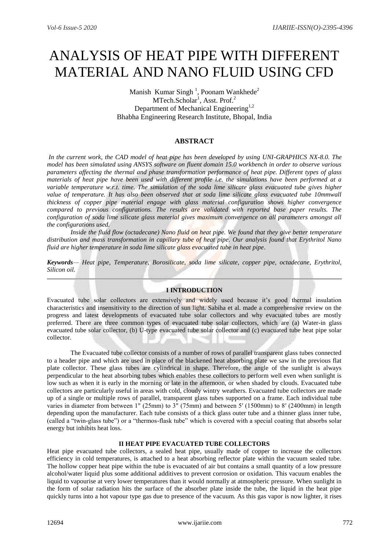# ANALYSIS OF HEAT PIPE WITH DIFFERENT MATERIAL AND NANO FLUID USING CFD

Manish Kumar Singh<sup>1</sup>, Poonam Wankhede<sup>2</sup> MTech.Scholar<sup>1</sup>, Asst. Prof.<sup>2</sup> Department of Mechanical Engineering<sup>1,2</sup> Bhabha Engineering Research Institute, Bhopal, India

### **ABSTRACT**

*In the current work, the CAD model of heat pipe has been developed by using UNI-GRAPHICS NX-8.0. The model has been simulated using ANSYS software on fluent domain 15.0 workbench in order to observe various parameters affecting the thermal and phase transformation performance of heat pipe. Different types of glass materials of heat pipe have been used with different profile i.e. the simulations have been performed at a variable temperature w.r.t. time. The simulation of the soda lime silicate glass evacuated tube gives higher value of temperature. It has also been observed that at soda lime silicate glass evacuated tube 10mmwall thickness of copper pipe material engage with glass material configuration shows higher convergence compared to previous configurations. The results are validated with reported base paper results. The configuration of soda lime silicate glass material gives maximum convergence on all parameters amongst all the configurations used.*

*Inside the fluid flow (octadecane) Nano fluid on heat pipe. We found that they give better temperature distribution and mass transformation in capillary tube of heat pipe. Our analysis found that Erythritol Nano fluid are higher temperature in soda lime silicate glass evacuated tube in heat pipe.*

*Keywords— Heat pipe, Temperature, Borosilicate, soda lime silicate, copper pipe, octadecane, Erythritol, Silicon oil.*

### **I INTRODUCTION**

Evacuated tube solar collectors are extensively and widely used because it's good thermal insulation characteristics and insensitivity to the direction of sun light. Sabiha et al. made a comprehensive review on the progress and latest developments of evacuated tube solar collectors and why evacuated tubes are mostly preferred. There are three common types of evacuated tube solar collectors, which are (a) Water-in glass evacuated tube solar collector, (b) U-type evacuated tube solar collector and (c) evacuated tube heat pipe solar collector.

The Evacuated tube collector consists of a number of rows of parallel transparent glass tubes connected to a header pipe and which are used in place of the blackened heat absorbing plate we saw in the previous flat plate collector. These glass tubes are cylindrical in shape. Therefore, the angle of the sunlight is always perpendicular to the heat absorbing tubes which enables these collectors to perform well even when sunlight is low such as when it is early in the morning or late in the afternoon, or when shaded by clouds. Evacuated tube collectors are particularly useful in areas with cold, cloudy wintry weathers. Evacuated tube collectors are made up of a single or multiple rows of parallel, transparent glass tubes supported on a frame. Each individual tube varies in diameter from between 1" (25mm) to 3" (75mm) and between 5′ (1500mm) to 8′ (2400mm) in length depending upon the manufacturer. Each tube consists of a thick glass outer tube and a thinner glass inner tube, (called a "twin-glass tube") or a "thermos-flask tube" which is covered with a special coating that absorbs solar energy but inhibits heat loss.

#### **II HEAT PIPE EVACUATED TUBE COLLECTORS**

Heat pipe evacuated tube collectors, a sealed heat pipe, usually made of copper to increase the collectors efficiency in cold temperatures, is attached to a heat absorbing reflector plate within the vacuum sealed tube. The hollow copper heat pipe within the tube is evacuated of air but contains a small quantity of a low pressure alcohol/water liquid plus some additional additives to prevent corrosion or oxidation. This vacuum enables the liquid to vapourise at very lower temperatures than it would normally at atmospheric pressure. When sunlight in the form of solar radiation hits the surface of the absorber plate inside the tube, the liquid in the heat pipe quickly turns into a hot vapour type gas due to presence of the vacuum. As this gas vapor is now lighter, it rises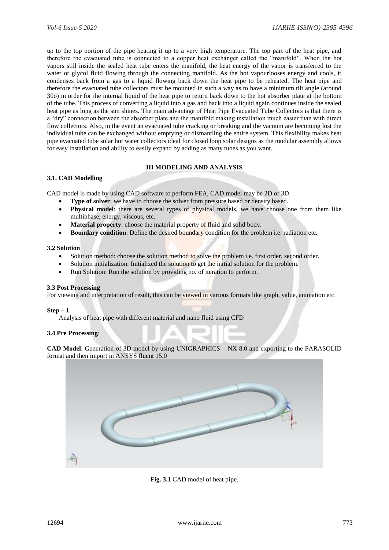up to the top portion of the pipe heating it up to a very high temperature. The top part of the heat pipe, and therefore the evacuated tube is connected to a copper heat exchanger called the "manifold". When the hot vapors still inside the sealed heat tube enters the manifold, the heat energy of the vapor is transferred to the water or glycol fluid flowing through the connecting manifold. As the hot vapourlooses energy and cools, it condenses back from a gas to a liquid flowing back down the heat pipe to be reheated. The heat pipe and therefore the evacuated tube collectors must be mounted in such a way as to have a minimum tilt angle (around 30o) in order for the internal liquid of the heat pipe to return back down to the hot absorber plate at the bottom of the tube. This process of converting a liquid into a gas and back into a liquid again continues inside the sealed heat pipe as long as the sun shines. The main advantage of Heat Pipe Evacuated Tube Collectors is that there is a "dry" connection between the absorber plate and the manifold making installation much easier than with direct flow collectors. Also, in the event an evacuated tube cracking or breaking and the vacuum are becoming lost the individual tube can be exchanged without emptying or dismantling the entire system. This flexibility makes heat pipe evacuated tube solar hot water collectors ideal for closed loop solar designs as the modular assembly allows for easy installation and ability to easily expand by adding as many tubes as you want.

### **III MODELING AND ANALYSIS**

### **3.1. CAD Modelling**

CAD model is made by using CAD software to perform FEA, CAD model may be 2D or 3D.

**Type of solver**: we have to choose the solver from pressure based or density based.

- **Physical model**: there are several types of physical models, we have choose one from them like multiphase, energy, viscous, etc.
- **Material property**: choose the material property of fluid and solid body.
- **Boundary condition**: Define the desired boundary condition for the problem i.e. radiation etc.

### **3.2 Solution**

- Solution method: choose the solution method to solve the problem i.e. first order, second order.
- Solution initialization: Initialized the solution to get the initial solution for the problem.
- Run Solution: Run the solution by providing no. of iteration to perform.

#### **3.3 Post Processing**

For viewing and interpretation of result, this can be viewed in various formats like graph, value, animation etc.

#### **Step – 1**

Analysis of heat pipe with different material and nano fluid using CFD

### **3.4 Pre Processing**:

**CAD Model**: Generation of 3D model by using UNIGRAPHICS – NX 8.0 and exporting to the PARASOLID format and then import in ANSYS fluent 15.0



**Fig. 3.1** CAD model of heat pipe.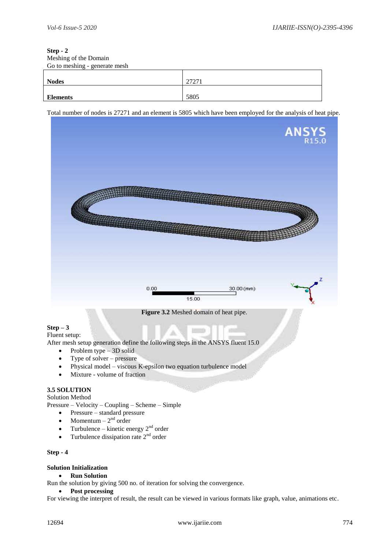### **Step - 2** Meshing of the Domain Go to meshing - generate mesh

| <u>.</u>        | 2727 |
|-----------------|------|
| <b>Nodes</b>    | 2121 |
| <b>Elements</b> | 5805 |

Total number of nodes is 27271 and an element is 5805 which have been employed for the analysis of heat pipe.



**Figure 3.2** Meshed domain of heat pipe.

# **Step – 3**

Fluent setup:

After mesh setup generation define the following steps in the ANSYS fluent 15.0

- Problem type  $-3D$  solid
- Type of solver pressure
- Physical model viscous K-epsilon two equation turbulence model
- Mixture volume of fraction

# **3.5 SOLUTION**

Solution Method

Pressure – Velocity – Coupling – Scheme – Simple

- Pressure standard pressure
- Momentum  $-2^{nd}$  order
- Turbulence kinetic energy  $2<sup>nd</sup>$  order
- Turbulence dissipation rate  $2<sup>nd</sup>$  order

### **Step - 4**

## **Solution Initialization**

**Run Solution** 

Run the solution by giving 500 no. of iteration for solving the convergence.

### **Post processing**

For viewing the interpret of result, the result can be viewed in various formats like graph, value, animations etc.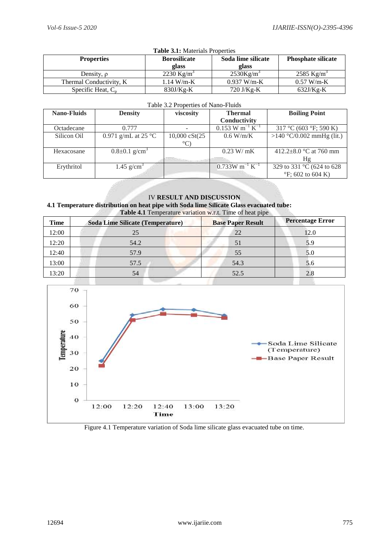| <b>Table 3.1:</b> Materials Properties |                           |                          |                        |  |  |
|----------------------------------------|---------------------------|--------------------------|------------------------|--|--|
| <b>Properties</b>                      | <b>Phosphate silicate</b> |                          |                        |  |  |
| Density, $\rho$                        | 2230 Kg/m <sup>3</sup>    | $2530$ Kg/m <sup>3</sup> | 2585 Kg/m <sup>3</sup> |  |  |
| Thermal Conductivity, K                | $1.14 W/m-K$              | $0.937$ W/m-K            | $0.57 W/m-K$           |  |  |
| Specific Heat, $C_n$                   | $830J/Kg-K$               | $720$ J/Kg-K             | $632J/Kg-K$            |  |  |

### Table 3.2 Properties of Nano-Fluids

| <b>Nano-Fluids</b> | <b>Density</b>                  | viscosity                | <b>Thermal</b>                            | <b>Boiling Point</b>          |
|--------------------|---------------------------------|--------------------------|-------------------------------------------|-------------------------------|
|                    |                                 |                          | Conductivity                              |                               |
| Octadecane         | 0.777                           |                          | $0.153$ W m <sup>-1</sup> K <sup>-1</sup> | 317 °C (603 °F; 590 K)        |
| Silicon Oil        | 0.971 g/mL at 25 $^{\circ}$ C   | $10,000 \text{ cSt}(25)$ | $0.6$ W/m/K                               | >140 °C/0.002 mmHg (lit.)     |
|                    |                                 |                          |                                           |                               |
| Hexacosane         | $0.8 \pm 0.1$ g/cm <sup>3</sup> |                          | 0.23 W/mK                                 | 412.2 $\pm$ 8.0 °C at 760 mm  |
|                    |                                 |                          |                                           | Hg                            |
| Erythritol         | 1.45 $g/cm3$                    |                          | $0.733W$ m <sup>-1</sup> K <sup>-1</sup>  | 329 to 331 °C (624 to 628)    |
|                    |                                 |                          |                                           | $\mathrm{P}F$ ; 602 to 604 K) |

IV **RESULT AND DISCUSSION 4.1 Temperature distribution on heat pipe with Soda lime Silicate Glass evacuated tube: Table 4.1** Temperature variation w.r.t. Time of heat pipe

| Time  | <b>Soda Lime Silicate (Temperature)</b> | <b>Base Paper Result</b> | <b>Percentage Error</b> |
|-------|-----------------------------------------|--------------------------|-------------------------|
| 12:00 | 25                                      | 22                       | 12.0                    |
| 12:20 | 54.2                                    | 51                       | 5.9                     |
| 12:40 | 57.9                                    | 55                       | 5.0                     |
| 13:00 | 57.5                                    | 54.3                     | 5.6                     |
| 13:20 | 54                                      | 52.5                     | 2.8                     |



Figure 4.1 Temperature variation of Soda lime silicate glass evacuated tube on time.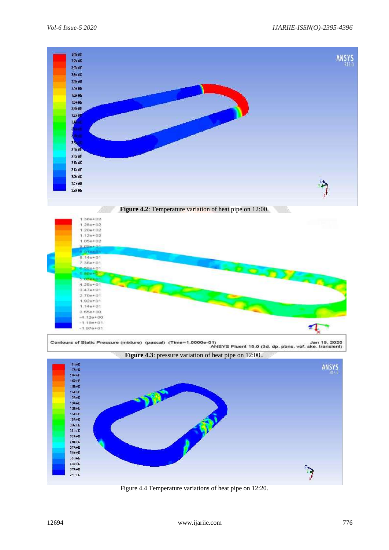

Figure 4.4 Temperature variations of heat pipe on 12:20.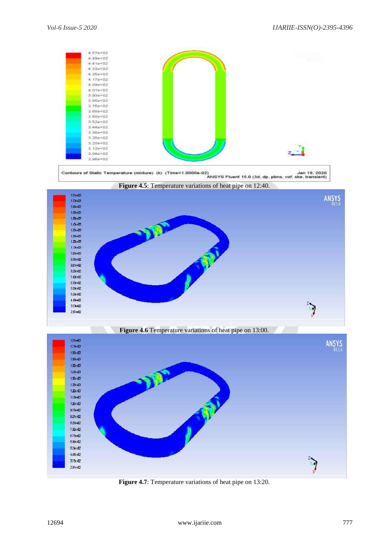

**Figure 4.7**: Temperature variations of heat pipe on 13:20.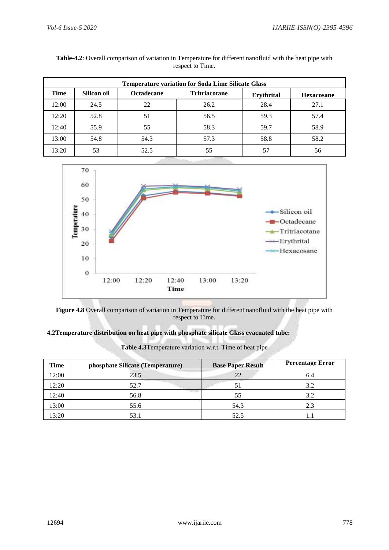| <b>Temperature variation for Soda Lime Silicate Glass</b> |             |                   |                      |                   |                   |
|-----------------------------------------------------------|-------------|-------------------|----------------------|-------------------|-------------------|
| Time                                                      | Silicon oil | <b>Octadecane</b> | <b>Tritriacotane</b> | <b>Erythrital</b> | <b>Hexacosane</b> |
| 12:00                                                     | 24.5        | 22                | 26.2                 | 28.4              | 27.1              |
| 12:20                                                     | 52.8        | 51                | 56.5                 | 59.3              | 57.4              |
| 12:40                                                     | 55.9        | 55                | 58.3                 | 59.7              | 58.9              |
| 13:00                                                     | 54.8        | 54.3              | 57.3                 | 58.8              | 58.2              |
| 13:20                                                     | 53          | 52.5              | 55                   |                   | 56                |

| Table-4.2: Overall comparison of variation in Temperature for different nanofluid with the heat pipe with |
|-----------------------------------------------------------------------------------------------------------|
| respect to Time.                                                                                          |



**Figure 4.8** Overall comparison of variation in Temperature for different nanofluid with the heat pipe with respect to Time.

# **4.2Temperature distribution on heat pipe with phosphate silicate Glass evacuated tube:**

| <b>Time</b> | phosphate Silicate (Temperature) | <b>Base Paper Result</b> | <b>Percentage Error</b> |
|-------------|----------------------------------|--------------------------|-------------------------|
| 12:00       | 23.5                             | 22                       | 6.4                     |
| 12:20       | 52.7                             | 51                       | 3.2                     |
| 12:40       | 56.8                             | 55                       | 3.2                     |
| 13:00       | 55.6                             | 54.3                     | 2.3                     |
| 13:20       | 53.1                             | 52.5                     |                         |

**Table 4.3**Temperature variation w.r.t. Time of heat pipe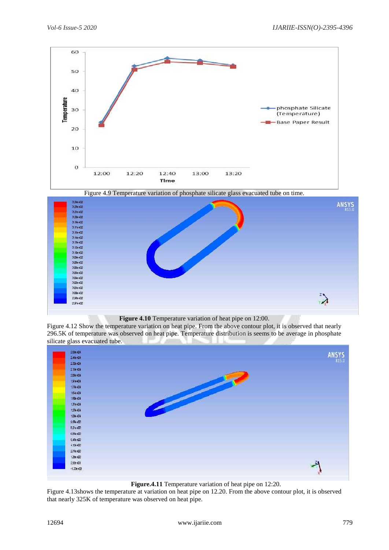

Figure 4.9 Temperature variation of phosphate silicate glass evacuated tube on time.



### **Figure 4.10** Temperature variation of heat pipe on 12:00.

Figure 4.12 Show the temperature variation on heat pipe. From the above contour plot, it is observed that nearly 296.5K of temperature was observed on heat pipe. Temperature distribution is seems to be average in phosphate silicate glass evacuated tube.

| 2.59e+04       | <b>ANSYS</b> |
|----------------|--------------|
| 2.46e+D4       |              |
| $2.32e + 114$  | R15.0        |
| 2.198404       |              |
| 2D5e+D4        |              |
| 1.91e+04       |              |
| 1.78e+04       |              |
| 1.54e+D4       |              |
| 1.50e+04       |              |
| 1.37e+04       |              |
| 1.236+04       |              |
| 1.09e+04       |              |
| 9.536+03       |              |
| 8.21e+03       |              |
| 6.85e+03       |              |
| 5.48e+03       |              |
| $4.12e + 0.3$  |              |
| 2.76e+03       |              |
| 1.396+03       |              |
| 2926+01        |              |
| $-1.33e + 1.3$ |              |
|                |              |

**Figure.4.11** Temperature variation of heat pipe on 12:20.

Figure 4.13shows the temperature at variation on heat pipe on 12.20. From the above contour plot, it is observed that nearly 325K of temperature was observed on heat pipe.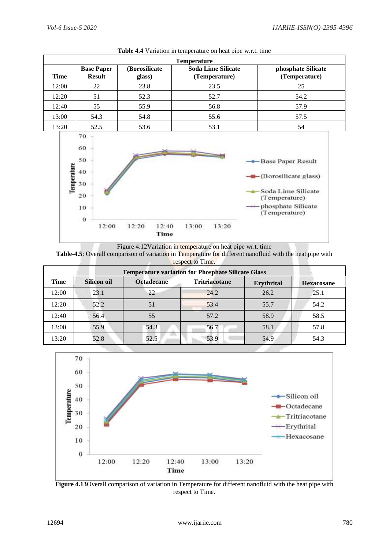| <b>Temperature</b> |                                    |                          |                                            |                                     |
|--------------------|------------------------------------|--------------------------|--------------------------------------------|-------------------------------------|
| Time               | <b>Base Paper</b><br><b>Result</b> | (Borosilicate)<br>glass) | <b>Soda Lime Silicate</b><br>(Temperature) | phosphate Silicate<br>(Temperature) |
| 12:00              | 22                                 | 23.8                     | 23.5                                       | 25                                  |
| 12:20              | 51                                 | 52.3                     | 52.7                                       | 54.2                                |
| 12:40              | 55                                 | 55.9                     | 56.8                                       | 57.9                                |
| 13:00              | 54.3                               | 54.8                     | 55.6                                       | 57.5                                |
| 13:20              | 52.5                               | 53.6                     | 53.1                                       | 54                                  |

**Table 4.4** Variation in temperature on heat pipe w.r.t. time



Figure 4.12Variation in temperature on heat pipe wr.t. time

| <b>Table-4.5:</b> Overall comparison of variation in Temperature for different nanofluid with the heat pipe with |                  |  |  |
|------------------------------------------------------------------------------------------------------------------|------------------|--|--|
|                                                                                                                  | respect to Time. |  |  |

| <b>Temperature variation for Phosphate Silicate Glass</b> |                    |                   |                      |                   |                   |
|-----------------------------------------------------------|--------------------|-------------------|----------------------|-------------------|-------------------|
| Time                                                      | <b>Silicon oil</b> | <b>Octadecane</b> | <b>Tritriacotane</b> | <b>Erythrital</b> | <b>Hexacosane</b> |
| 12:00                                                     | 23.1               | 22                | 24.2                 | 26.2              | 25.1              |
| 12:20                                                     | 52.2               | 51                | 53.4                 | 55.7              | 54.2              |
| 12:40                                                     | 56.4               | 55                | 57.2                 | 58.9              | 58.5              |
| 13:00                                                     | 55.9               | 54.3              | 56.7                 | 58.1              | 57.8              |
| 13:20                                                     | 52.8               | 52.5              | 53.9                 | 54.9              | 54.3              |



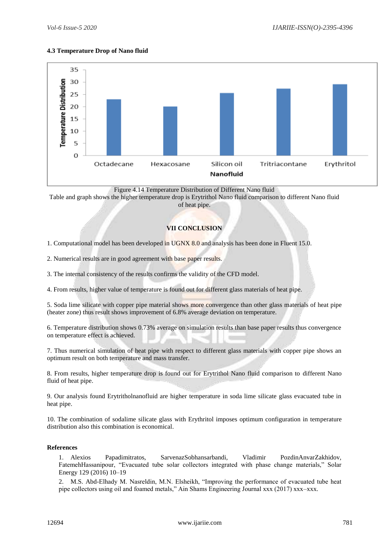## **4.3 Temperature Drop of Nano fluid**



Figure 4.14 Temperature Distribution of Different Nano fluid

Table and graph shows the higher temperature drop is Erytrithol Nano fluid comparison to different Nano fluid

of heat pipe.

# **VII CONCLUSION**

1. Computational model has been developed in UGNX 8.0 and analysis has been done in Fluent 15.0.

2. Numerical results are in good agreement with base paper results.

3. The internal consistency of the results confirms the validity of the CFD model.

4. From results, higher value of temperature is found out for different glass materials of heat pipe.

5. Soda lime silicate with copper pipe material shows more convergence than other glass materials of heat pipe (heater zone) thus result shows improvement of 6.8% average deviation on temperature.

6. Temperature distribution shows 0.73% average on simulation results than base paper results thus convergence on temperature effect is achieved.

7. Thus numerical simulation of heat pipe with respect to different glass materials with copper pipe shows an optimum result on both temperature and mass transfer.

8. From results, higher temperature drop is found out for Erytrithol Nano fluid comparison to different Nano fluid of heat pipe.

9. Our analysis found Erytritholnanofluid are higher temperature in soda lime silicate glass evacuated tube in heat pipe.

10. The combination of sodalime silicate glass with Erythritol imposes optimum configuration in temperature distribution also this combination is economical.

## **References**

1. Alexios Papadimitratos, SarvenazSobhansarbandi, Vladimir PozdinAnvarZakhidov, FatemehHassanipour, "Evacuated tube solar collectors integrated with phase change materials," Solar Energy 129 (2016) 10–19

2. M.S. Abd-Elhady M. Nasreldin, M.N. Elsheikh, "Improving the performance of evacuated tube heat pipe collectors using oil and foamed metals," Ain Shams Engineering Journal xxx (2017) xxx–xxx.